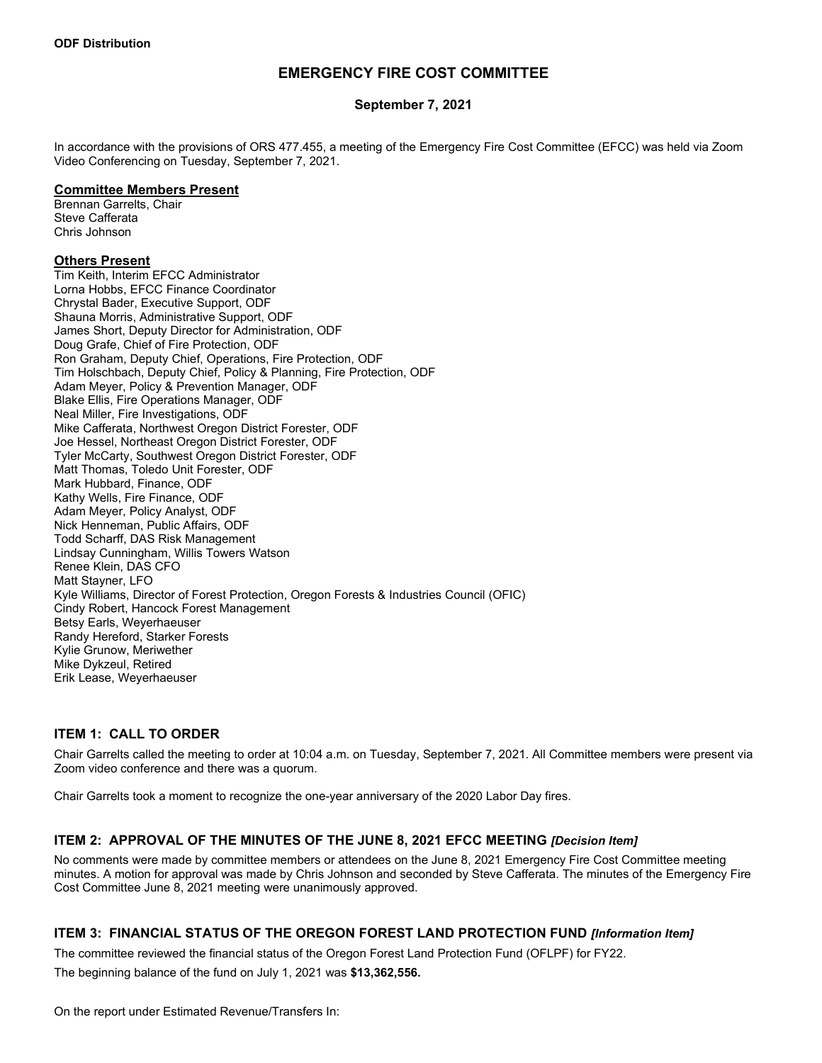# **EMERGENCY FIRE COST COMMITTEE**

### **September 7, 2021**

In accordance with the provisions of ORS 477.455, a meeting of the Emergency Fire Cost Committee (EFCC) was held via Zoom Video Conferencing on Tuesday, September 7, 2021.

#### **Committee Members Present**

Brennan Garrelts, Chair Steve Cafferata Chris Johnson

#### **Others Present**

Tim Keith, Interim EFCC Administrator Lorna Hobbs, EFCC Finance Coordinator Chrystal Bader, Executive Support, ODF Shauna Morris, Administrative Support, ODF James Short, Deputy Director for Administration, ODF Doug Grafe, Chief of Fire Protection, ODF Ron Graham, Deputy Chief, Operations, Fire Protection, ODF Tim Holschbach, Deputy Chief, Policy & Planning, Fire Protection, ODF Adam Meyer, Policy & Prevention Manager, ODF Blake Ellis, Fire Operations Manager, ODF Neal Miller, Fire Investigations, ODF Mike Cafferata, Northwest Oregon District Forester, ODF Joe Hessel, Northeast Oregon District Forester, ODF Tyler McCarty, Southwest Oregon District Forester, ODF Matt Thomas, Toledo Unit Forester, ODF Mark Hubbard, Finance, ODF Kathy Wells, Fire Finance, ODF Adam Meyer, Policy Analyst, ODF Nick Henneman, Public Affairs, ODF Todd Scharff, DAS Risk Management Lindsay Cunningham, Willis Towers Watson Renee Klein, DAS CFO Matt Stayner, LFO Kyle Williams, Director of Forest Protection, Oregon Forests & Industries Council (OFIC) Cindy Robert, Hancock Forest Management Betsy Earls, Weyerhaeuser Randy Hereford, Starker Forests Kylie Grunow, Meriwether Mike Dykzeul, Retired Erik Lease, Weyerhaeuser

# **ITEM 1: CALL TO ORDER**

Chair Garrelts called the meeting to order at 10:04 a.m. on Tuesday, September 7, 2021. All Committee members were present via Zoom video conference and there was a quorum.

Chair Garrelts took a moment to recognize the one-year anniversary of the 2020 Labor Day fires.

### **ITEM 2: APPROVAL OF THE MINUTES OF THE JUNE 8, 2021 EFCC MEETING** *[Decision Item]*

No comments were made by committee members or attendees on the June 8, 2021 Emergency Fire Cost Committee meeting minutes. A motion for approval was made by Chris Johnson and seconded by Steve Cafferata. The minutes of the Emergency Fire Cost Committee June 8, 2021 meeting were unanimously approved.

### **ITEM 3: FINANCIAL STATUS OF THE OREGON FOREST LAND PROTECTION FUND** *[Information Item]*

The committee reviewed the financial status of the Oregon Forest Land Protection Fund (OFLPF) for FY22.

The beginning balance of the fund on July 1, 2021 was **\$13,362,556.**

On the report under Estimated Revenue/Transfers In: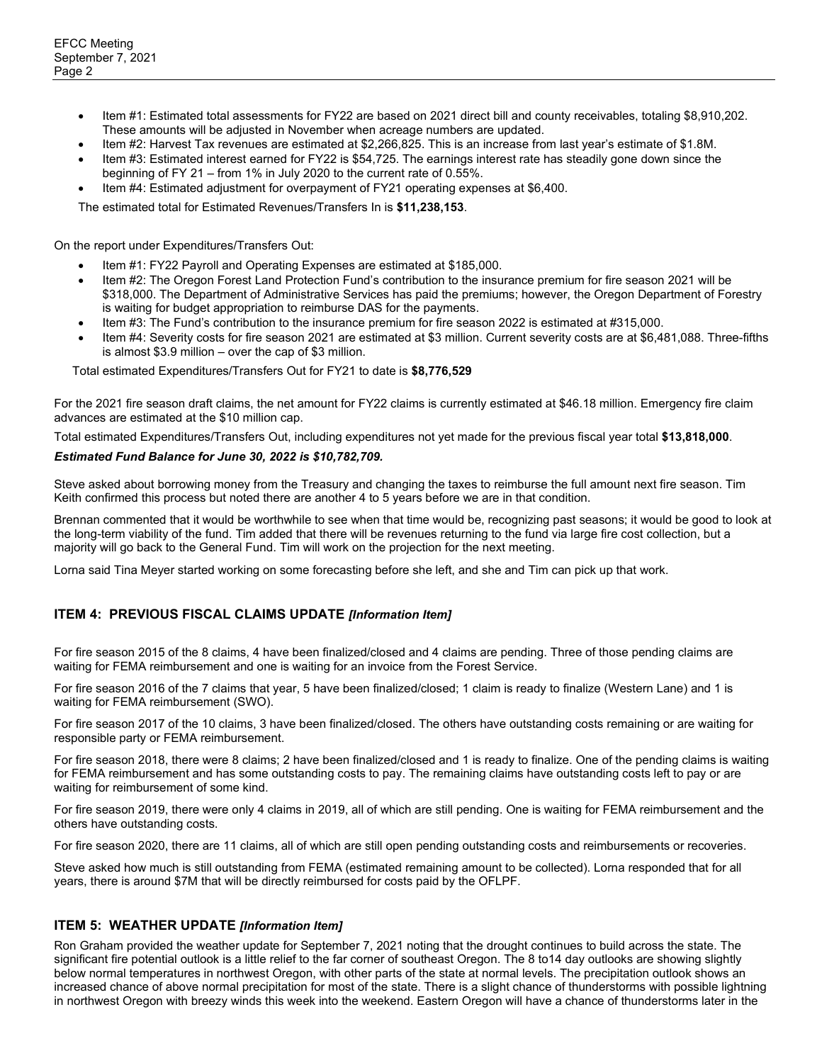- Item #1: Estimated total assessments for FY22 are based on 2021 direct bill and county receivables, totaling \$8,910,202. These amounts will be adjusted in November when acreage numbers are updated.
- Item #2: Harvest Tax revenues are estimated at \$2,266,825. This is an increase from last year's estimate of \$1.8M.
- Item #3: Estimated interest earned for FY22 is \$54,725. The earnings interest rate has steadily gone down since the beginning of FY 21 – from 1% in July 2020 to the current rate of 0.55%.
- Item #4: Estimated adjustment for overpayment of FY21 operating expenses at \$6,400.

The estimated total for Estimated Revenues/Transfers In is **\$11,238,153**.

On the report under Expenditures/Transfers Out:

- Item #1: FY22 Payroll and Operating Expenses are estimated at \$185,000.
- Item #2: The Oregon Forest Land Protection Fund's contribution to the insurance premium for fire season 2021 will be \$318,000. The Department of Administrative Services has paid the premiums; however, the Oregon Department of Forestry is waiting for budget appropriation to reimburse DAS for the payments.
- Item #3: The Fund's contribution to the insurance premium for fire season 2022 is estimated at #315,000.
- Item #4: Severity costs for fire season 2021 are estimated at \$3 million. Current severity costs are at \$6,481,088. Three-fifths is almost \$3.9 million – over the cap of \$3 million.

Total estimated Expenditures/Transfers Out for FY21 to date is **\$8,776,529**

For the 2021 fire season draft claims, the net amount for FY22 claims is currently estimated at \$46.18 million. Emergency fire claim advances are estimated at the \$10 million cap.

Total estimated Expenditures/Transfers Out, including expenditures not yet made for the previous fiscal year total **\$13,818,000**.

#### *Estimated Fund Balance for June 30, 2022 is \$10,782,709.*

Steve asked about borrowing money from the Treasury and changing the taxes to reimburse the full amount next fire season. Tim Keith confirmed this process but noted there are another 4 to 5 years before we are in that condition.

Brennan commented that it would be worthwhile to see when that time would be, recognizing past seasons; it would be good to look at the long-term viability of the fund. Tim added that there will be revenues returning to the fund via large fire cost collection, but a majority will go back to the General Fund. Tim will work on the projection for the next meeting.

Lorna said Tina Meyer started working on some forecasting before she left, and she and Tim can pick up that work.

# **ITEM 4: PREVIOUS FISCAL CLAIMS UPDATE** *[Information Item]*

For fire season 2015 of the 8 claims, 4 have been finalized/closed and 4 claims are pending. Three of those pending claims are waiting for FEMA reimbursement and one is waiting for an invoice from the Forest Service.

For fire season 2016 of the 7 claims that year, 5 have been finalized/closed; 1 claim is ready to finalize (Western Lane) and 1 is waiting for FEMA reimbursement (SWO).

For fire season 2017 of the 10 claims, 3 have been finalized/closed. The others have outstanding costs remaining or are waiting for responsible party or FEMA reimbursement.

For fire season 2018, there were 8 claims; 2 have been finalized/closed and 1 is ready to finalize. One of the pending claims is waiting for FEMA reimbursement and has some outstanding costs to pay. The remaining claims have outstanding costs left to pay or are waiting for reimbursement of some kind.

For fire season 2019, there were only 4 claims in 2019, all of which are still pending. One is waiting for FEMA reimbursement and the others have outstanding costs.

For fire season 2020, there are 11 claims, all of which are still open pending outstanding costs and reimbursements or recoveries.

Steve asked how much is still outstanding from FEMA (estimated remaining amount to be collected). Lorna responded that for all years, there is around \$7M that will be directly reimbursed for costs paid by the OFLPF.

### **ITEM 5: WEATHER UPDATE** *[Information Item]*

Ron Graham provided the weather update for September 7, 2021 noting that the drought continues to build across the state. The significant fire potential outlook is a little relief to the far corner of southeast Oregon. The 8 to14 day outlooks are showing slightly below normal temperatures in northwest Oregon, with other parts of the state at normal levels. The precipitation outlook shows an increased chance of above normal precipitation for most of the state. There is a slight chance of thunderstorms with possible lightning in northwest Oregon with breezy winds this week into the weekend. Eastern Oregon will have a chance of thunderstorms later in the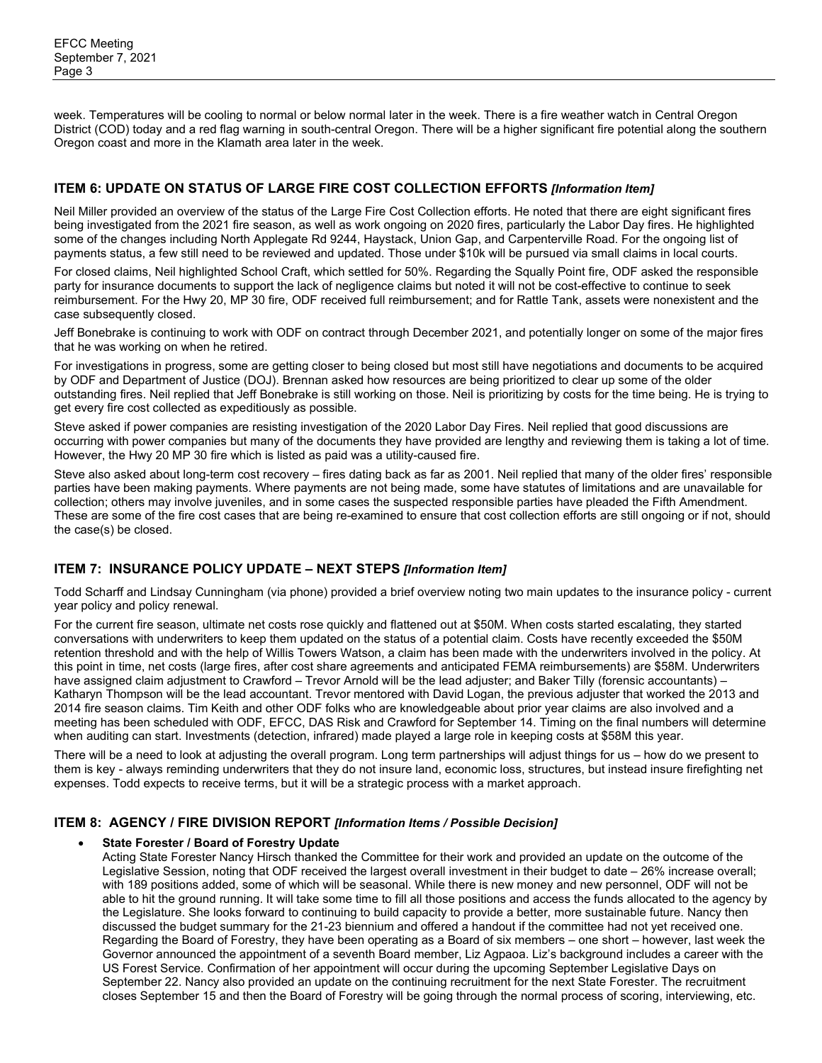week. Temperatures will be cooling to normal or below normal later in the week. There is a fire weather watch in Central Oregon District (COD) today and a red flag warning in south-central Oregon. There will be a higher significant fire potential along the southern Oregon coast and more in the Klamath area later in the week.

## **ITEM 6: UPDATE ON STATUS OF LARGE FIRE COST COLLECTION EFFORTS** *[Information Item]*

Neil Miller provided an overview of the status of the Large Fire Cost Collection efforts. He noted that there are eight significant fires being investigated from the 2021 fire season, as well as work ongoing on 2020 fires, particularly the Labor Day fires. He highlighted some of the changes including North Applegate Rd 9244, Haystack, Union Gap, and Carpenterville Road. For the ongoing list of payments status, a few still need to be reviewed and updated. Those under \$10k will be pursued via small claims in local courts.

For closed claims, Neil highlighted School Craft, which settled for 50%. Regarding the Squally Point fire, ODF asked the responsible party for insurance documents to support the lack of negligence claims but noted it will not be cost-effective to continue to seek reimbursement. For the Hwy 20, MP 30 fire, ODF received full reimbursement; and for Rattle Tank, assets were nonexistent and the case subsequently closed.

Jeff Bonebrake is continuing to work with ODF on contract through December 2021, and potentially longer on some of the major fires that he was working on when he retired.

For investigations in progress, some are getting closer to being closed but most still have negotiations and documents to be acquired by ODF and Department of Justice (DOJ). Brennan asked how resources are being prioritized to clear up some of the older outstanding fires. Neil replied that Jeff Bonebrake is still working on those. Neil is prioritizing by costs for the time being. He is trying to get every fire cost collected as expeditiously as possible.

Steve asked if power companies are resisting investigation of the 2020 Labor Day Fires. Neil replied that good discussions are occurring with power companies but many of the documents they have provided are lengthy and reviewing them is taking a lot of time. However, the Hwy 20 MP 30 fire which is listed as paid was a utility-caused fire.

Steve also asked about long-term cost recovery – fires dating back as far as 2001. Neil replied that many of the older fires' responsible parties have been making payments. Where payments are not being made, some have statutes of limitations and are unavailable for collection; others may involve juveniles, and in some cases the suspected responsible parties have pleaded the Fifth Amendment. These are some of the fire cost cases that are being re-examined to ensure that cost collection efforts are still ongoing or if not, should the case(s) be closed.

# **ITEM 7: INSURANCE POLICY UPDATE – NEXT STEPS** *[Information Item]*

Todd Scharff and Lindsay Cunningham (via phone) provided a brief overview noting two main updates to the insurance policy - current year policy and policy renewal.

For the current fire season, ultimate net costs rose quickly and flattened out at \$50M. When costs started escalating, they started conversations with underwriters to keep them updated on the status of a potential claim. Costs have recently exceeded the \$50M retention threshold and with the help of Willis Towers Watson, a claim has been made with the underwriters involved in the policy. At this point in time, net costs (large fires, after cost share agreements and anticipated FEMA reimbursements) are \$58M. Underwriters have assigned claim adjustment to Crawford – Trevor Arnold will be the lead adjuster; and Baker Tilly (forensic accountants) – Katharyn Thompson will be the lead accountant. Trevor mentored with David Logan, the previous adjuster that worked the 2013 and 2014 fire season claims. Tim Keith and other ODF folks who are knowledgeable about prior year claims are also involved and a meeting has been scheduled with ODF, EFCC, DAS Risk and Crawford for September 14. Timing on the final numbers will determine when auditing can start. Investments (detection, infrared) made played a large role in keeping costs at \$58M this year.

There will be a need to look at adjusting the overall program. Long term partnerships will adjust things for us – how do we present to them is key - always reminding underwriters that they do not insure land, economic loss, structures, but instead insure firefighting net expenses. Todd expects to receive terms, but it will be a strategic process with a market approach.

### **ITEM 8: AGENCY / FIRE DIVISION REPORT** *[Information Items / Possible Decision]*

#### • **State Forester / Board of Forestry Update**

Acting State Forester Nancy Hirsch thanked the Committee for their work and provided an update on the outcome of the Legislative Session, noting that ODF received the largest overall investment in their budget to date – 26% increase overall; with 189 positions added, some of which will be seasonal. While there is new money and new personnel, ODF will not be able to hit the ground running. It will take some time to fill all those positions and access the funds allocated to the agency by the Legislature. She looks forward to continuing to build capacity to provide a better, more sustainable future. Nancy then discussed the budget summary for the 21-23 biennium and offered a handout if the committee had not yet received one. Regarding the Board of Forestry, they have been operating as a Board of six members – one short – however, last week the Governor announced the appointment of a seventh Board member, Liz Agpaoa. Liz's background includes a career with the US Forest Service. Confirmation of her appointment will occur during the upcoming September Legislative Days on September 22. Nancy also provided an update on the continuing recruitment for the next State Forester. The recruitment closes September 15 and then the Board of Forestry will be going through the normal process of scoring, interviewing, etc.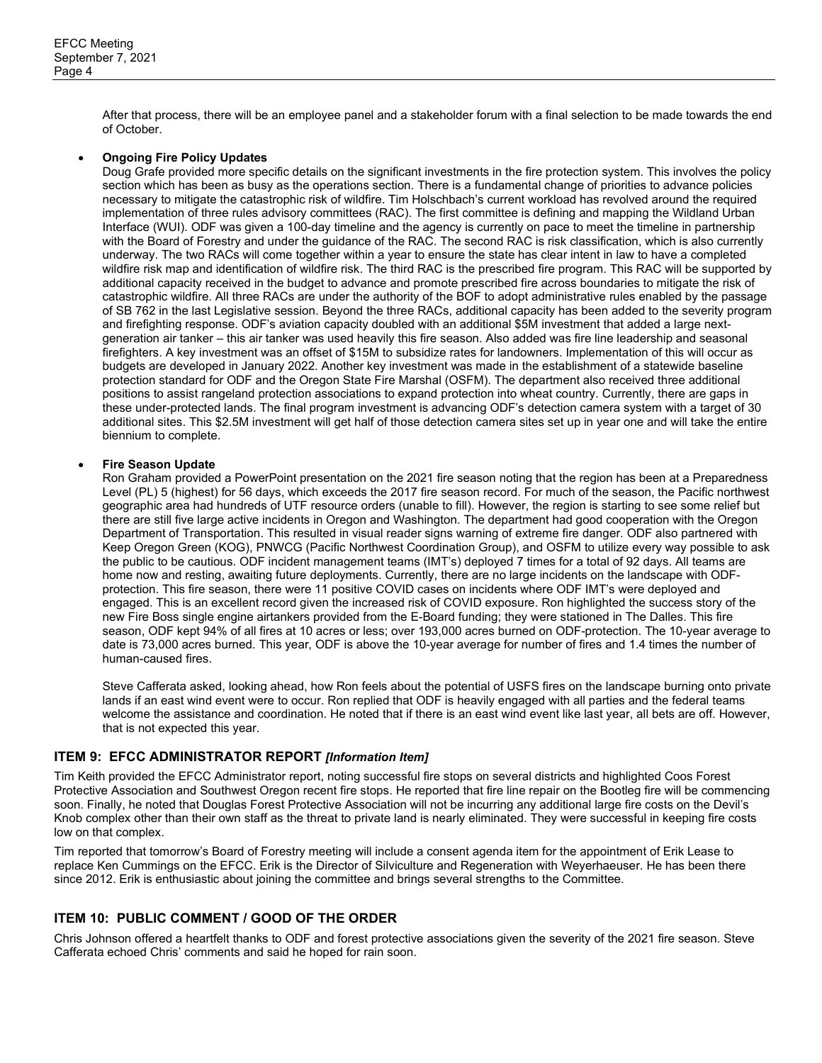After that process, there will be an employee panel and a stakeholder forum with a final selection to be made towards the end of October.

#### • **Ongoing Fire Policy Updates**

Doug Grafe provided more specific details on the significant investments in the fire protection system. This involves the policy section which has been as busy as the operations section. There is a fundamental change of priorities to advance policies necessary to mitigate the catastrophic risk of wildfire. Tim Holschbach's current workload has revolved around the required implementation of three rules advisory committees (RAC). The first committee is defining and mapping the Wildland Urban Interface (WUI). ODF was given a 100-day timeline and the agency is currently on pace to meet the timeline in partnership with the Board of Forestry and under the guidance of the RAC. The second RAC is risk classification, which is also currently underway. The two RACs will come together within a year to ensure the state has clear intent in law to have a completed wildfire risk map and identification of wildfire risk. The third RAC is the prescribed fire program. This RAC will be supported by additional capacity received in the budget to advance and promote prescribed fire across boundaries to mitigate the risk of catastrophic wildfire. All three RACs are under the authority of the BOF to adopt administrative rules enabled by the passage of SB 762 in the last Legislative session. Beyond the three RACs, additional capacity has been added to the severity program and firefighting response. ODF's aviation capacity doubled with an additional \$5M investment that added a large nextgeneration air tanker – this air tanker was used heavily this fire season. Also added was fire line leadership and seasonal firefighters. A key investment was an offset of \$15M to subsidize rates for landowners. Implementation of this will occur as budgets are developed in January 2022. Another key investment was made in the establishment of a statewide baseline protection standard for ODF and the Oregon State Fire Marshal (OSFM). The department also received three additional positions to assist rangeland protection associations to expand protection into wheat country. Currently, there are gaps in these under-protected lands. The final program investment is advancing ODF's detection camera system with a target of 30 additional sites. This \$2.5M investment will get half of those detection camera sites set up in year one and will take the entire biennium to complete.

#### • **Fire Season Update**

Ron Graham provided a PowerPoint presentation on the 2021 fire season noting that the region has been at a Preparedness Level (PL) 5 (highest) for 56 days, which exceeds the 2017 fire season record. For much of the season, the Pacific northwest geographic area had hundreds of UTF resource orders (unable to fill). However, the region is starting to see some relief but there are still five large active incidents in Oregon and Washington. The department had good cooperation with the Oregon Department of Transportation. This resulted in visual reader signs warning of extreme fire danger. ODF also partnered with Keep Oregon Green (KOG), PNWCG (Pacific Northwest Coordination Group), and OSFM to utilize every way possible to ask the public to be cautious. ODF incident management teams (IMT's) deployed 7 times for a total of 92 days. All teams are home now and resting, awaiting future deployments. Currently, there are no large incidents on the landscape with ODFprotection. This fire season, there were 11 positive COVID cases on incidents where ODF IMT's were deployed and engaged. This is an excellent record given the increased risk of COVID exposure. Ron highlighted the success story of the new Fire Boss single engine airtankers provided from the E-Board funding; they were stationed in The Dalles. This fire season, ODF kept 94% of all fires at 10 acres or less; over 193,000 acres burned on ODF-protection. The 10-year average to date is 73,000 acres burned. This year, ODF is above the 10-year average for number of fires and 1.4 times the number of human-caused fires.

Steve Cafferata asked, looking ahead, how Ron feels about the potential of USFS fires on the landscape burning onto private lands if an east wind event were to occur. Ron replied that ODF is heavily engaged with all parties and the federal teams welcome the assistance and coordination. He noted that if there is an east wind event like last year, all bets are off. However, that is not expected this year.

### **ITEM 9: EFCC ADMINISTRATOR REPORT** *[Information Item]*

Tim Keith provided the EFCC Administrator report, noting successful fire stops on several districts and highlighted Coos Forest Protective Association and Southwest Oregon recent fire stops. He reported that fire line repair on the Bootleg fire will be commencing soon. Finally, he noted that Douglas Forest Protective Association will not be incurring any additional large fire costs on the Devil's Knob complex other than their own staff as the threat to private land is nearly eliminated. They were successful in keeping fire costs low on that complex.

Tim reported that tomorrow's Board of Forestry meeting will include a consent agenda item for the appointment of Erik Lease to replace Ken Cummings on the EFCC. Erik is the Director of Silviculture and Regeneration with Weyerhaeuser. He has been there since 2012. Erik is enthusiastic about joining the committee and brings several strengths to the Committee.

# **ITEM 10: PUBLIC COMMENT / GOOD OF THE ORDER**

Chris Johnson offered a heartfelt thanks to ODF and forest protective associations given the severity of the 2021 fire season. Steve Cafferata echoed Chris' comments and said he hoped for rain soon.